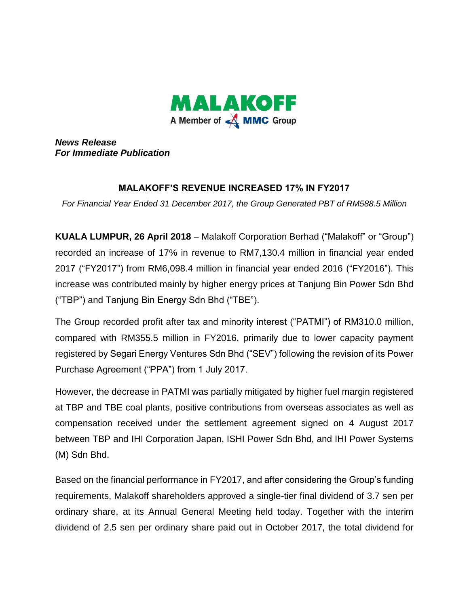

*News Release For Immediate Publication*

## **MALAKOFF'S REVENUE INCREASED 17% IN FY2017**

*For Financial Year Ended 31 December 2017, the Group Generated PBT of RM588.5 Million* 

**KUALA LUMPUR, 26 April 2018** – Malakoff Corporation Berhad ("Malakoff" or "Group") recorded an increase of 17% in revenue to RM7,130.4 million in financial year ended 2017 ("FY2017") from RM6,098.4 million in financial year ended 2016 ("FY2016"). This increase was contributed mainly by higher energy prices at Tanjung Bin Power Sdn Bhd ("TBP") and Tanjung Bin Energy Sdn Bhd ("TBE").

The Group recorded profit after tax and minority interest ("PATMI") of RM310.0 million, compared with RM355.5 million in FY2016, primarily due to lower capacity payment registered by Segari Energy Ventures Sdn Bhd ("SEV") following the revision of its Power Purchase Agreement ("PPA") from 1 July 2017.

However, the decrease in PATMI was partially mitigated by higher fuel margin registered at TBP and TBE coal plants, positive contributions from overseas associates as well as compensation received under the settlement agreement signed on 4 August 2017 between TBP and IHI Corporation Japan, ISHI Power Sdn Bhd, and IHI Power Systems (M) Sdn Bhd.

Based on the financial performance in FY2017, and after considering the Group's funding requirements, Malakoff shareholders approved a single-tier final dividend of 3.7 sen per ordinary share, at its Annual General Meeting held today. Together with the interim dividend of 2.5 sen per ordinary share paid out in October 2017, the total dividend for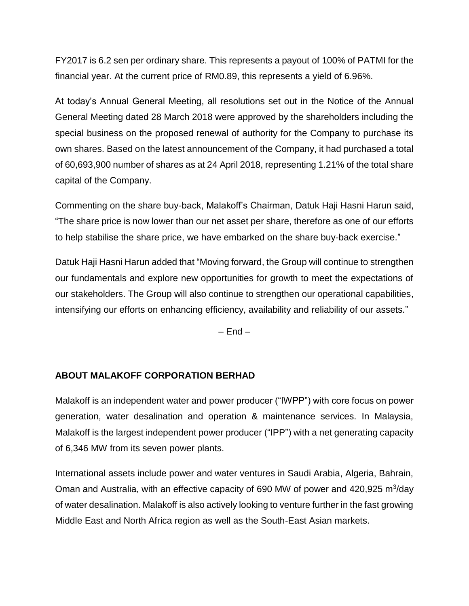FY2017 is 6.2 sen per ordinary share. This represents a payout of 100% of PATMI for the financial year. At the current price of RM0.89, this represents a yield of 6.96%.

At today's Annual General Meeting, all resolutions set out in the Notice of the Annual General Meeting dated 28 March 2018 were approved by the shareholders including the special business on the proposed renewal of authority for the Company to purchase its own shares. Based on the latest announcement of the Company, it had purchased a total of 60,693,900 number of shares as at 24 April 2018, representing 1.21% of the total share capital of the Company.

Commenting on the share buy-back, Malakoff's Chairman, Datuk Haji Hasni Harun said, "The share price is now lower than our net asset per share, therefore as one of our efforts to help stabilise the share price, we have embarked on the share buy-back exercise."

Datuk Haji Hasni Harun added that "Moving forward, the Group will continue to strengthen our fundamentals and explore new opportunities for growth to meet the expectations of our stakeholders. The Group will also continue to strengthen our operational capabilities, intensifying our efforts on enhancing efficiency, availability and reliability of our assets."

 $-$  End  $-$ 

## **ABOUT MALAKOFF CORPORATION BERHAD**

Malakoff is an independent water and power producer ("IWPP") with core focus on power generation, water desalination and operation & maintenance services. In Malaysia, Malakoff is the largest independent power producer ("IPP") with a net generating capacity of 6,346 MW from its seven power plants.

International assets include power and water ventures in Saudi Arabia, Algeria, Bahrain, Oman and Australia, with an effective capacity of 690 MW of power and 420,925 m<sup>3</sup>/day of water desalination. Malakoff is also actively looking to venture further in the fast growing Middle East and North Africa region as well as the South-East Asian markets.